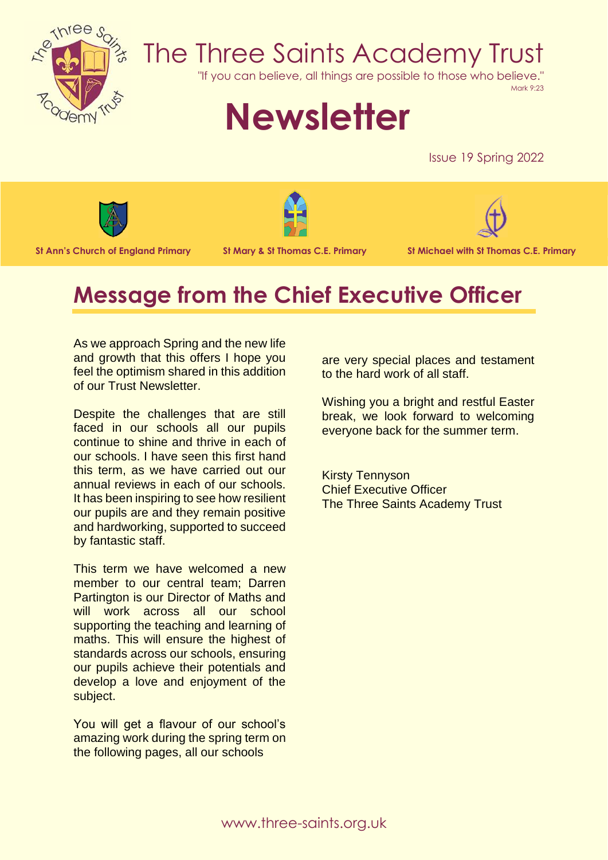

# The Three Saints Academy Trust

"If you can believe, all things are possible to those who believe."

Mark 9:23

# **Newsletter**

Issue 19 Spring 2022







**St Ann's Church of England Primary St Mary & St Thomas C.E. Primary St Michael with St Thomas C.E. Primary**

# **Message from the Chief Executive Officer**

As we approach Spring and the new life and growth that this offers I hope you feel the optimism shared in this addition of our Trust Newsletter.

Despite the challenges that are still faced in our schools all our pupils continue to shine and thrive in each of our schools. I have seen this first hand this term, as we have carried out our annual reviews in each of our schools. It has been inspiring to see how resilient our pupils are and they remain positive and hardworking, supported to succeed by fantastic staff.

This term we have welcomed a new member to our central team; Darren Partington is our Director of Maths and will work across all our school supporting the teaching and learning of maths. This will ensure the highest of standards across our schools, ensuring our pupils achieve their potentials and develop a love and enjoyment of the subject.

You will get a flavour of our school's amazing work during the spring term on the following pages, all our schools

are very special places and testament to the hard work of all staff.

Wishing you a bright and restful Easter break, we look forward to welcoming everyone back for the summer term.

Kirsty Tennyson Chief Executive Officer The Three Saints Academy Trust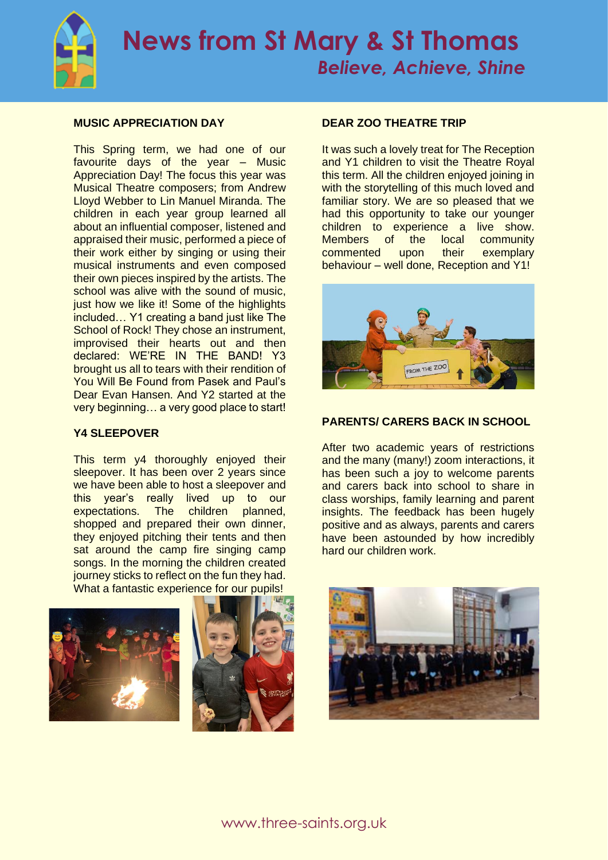

# **MUSIC APPRECIATION DAY**

This Spring term, we had one of our favourite days of the year – Music Appreciation Day! The focus this year was Musical Theatre composers; from Andrew Lloyd Webber to Lin Manuel Miranda. The children in each year group learned all about an influential composer, listened and appraised their music, performed a piece of their work either by singing or using their musical instruments and even composed their own pieces inspired by the artists. The school was alive with the sound of music, just how we like it! Some of the highlights included… Y1 creating a band just like The School of Rock! They chose an instrument, improvised their hearts out and then declared: WE'RE IN THE BAND! Y3 brought us all to tears with their rendition of You Will Be Found from Pasek and Paul's Dear Evan Hansen. And Y2 started at the very beginning… a very good place to start!

### **Y4 SLEEPOVER**

This term y4 thoroughly enjoyed their sleepover. It has been over 2 years since we have been able to host a sleepover and this year's really lived up to our<br>expectations. The children planned. expectations. The children shopped and prepared their own dinner, they enjoyed pitching their tents and then sat around the camp fire singing camp songs. In the morning the children created journey sticks to reflect on the fun they had. What a fantastic experience for our pupils!





### **DEAR ZOO THEATRE TRIP**

It was such a lovely treat for The Reception and Y1 children to visit the Theatre Royal this term. All the children enjoyed joining in with the storytelling of this much loved and familiar story. We are so pleased that we had this opportunity to take our younger children to experience a live show. Members of the local community commented upon their exemplary behaviour – well done, Reception and Y1!



### **PARENTS/ CARERS BACK IN SCHOOL**

After two academic years of restrictions and the many (many!) zoom interactions, it has been such a joy to welcome parents and carers back into school to share in class worships, family learning and parent insights. The feedback has been hugely positive and as always, parents and carers have been astounded by how incredibly hard our children work.

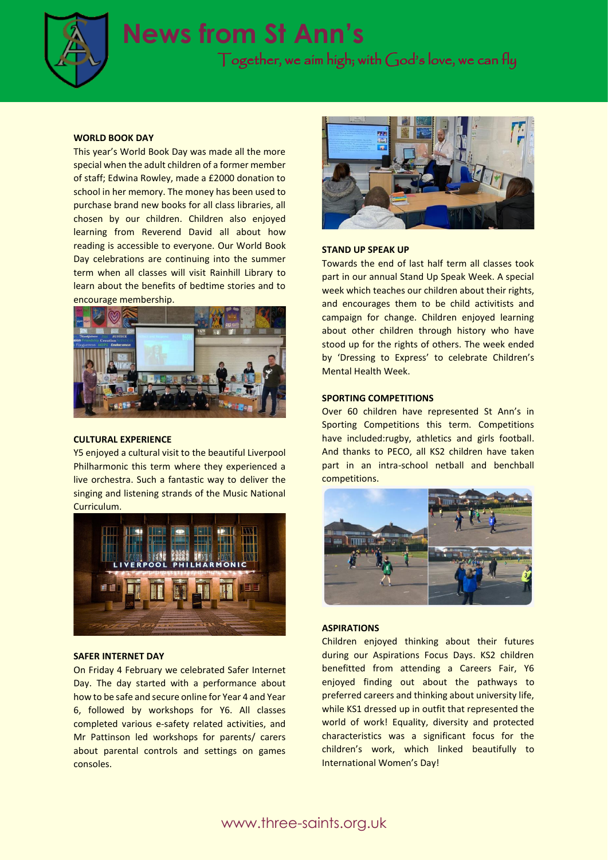

# **News from St Ann's**

Together, we aim high; with God's love, we can fly

#### **WORLD BOOK DAY**

This year's World Book Day was made all the more special when the adult children of a former member of staff; Edwina Rowley, made a £2000 donation to school in her memory. The money has been used to purchase brand new books for all class libraries, all chosen by our children. Children also enjoyed learning from Reverend David all about how reading is accessible to everyone. Our World Book Day celebrations are continuing into the summer term when all classes will visit Rainhill Library to learn about the benefits of bedtime stories and to encourage membership.



#### **CULTURAL EXPERIENCE**

Y5 enjoyed a cultural visit to the beautiful Liverpool Philharmonic this term where they experienced a live orchestra. Such a fantastic way to deliver the singing and listening strands of the Music National Curriculum.



#### **SAFER INTERNET DAY**

On Friday 4 February we celebrated Safer Internet Day. The day started with a performance about how to be safe and secure online for Year 4 and Year 6, followed by workshops for Y6. All classes completed various e-safety related activities, and Mr Pattinson led workshops for parents/ carers about parental controls and settings on games consoles.



#### **STAND UP SPEAK UP**

Towards the end of last half term all classes took part in our annual Stand Up Speak Week. A special week which teaches our children about their rights, and encourages them to be child activitists and campaign for change. Children enjoyed learning about other children through history who have stood up for the rights of others. The week ended by 'Dressing to Express' to celebrate Children's Mental Health Week.

#### **SPORTING COMPETITIONS**

Over 60 children have represented St Ann's in Sporting Competitions this term. Competitions have included:rugby, athletics and girls football. And thanks to PECO, all KS2 children have taken part in an intra-school netball and benchball competitions.



#### **ASPIRATIONS**

Children enjoyed thinking about their futures during our Aspirations Focus Days. KS2 children benefitted from attending a Careers Fair, Y6 enjoyed finding out about the pathways to preferred careers and thinking about university life, while KS1 dressed up in outfit that represented the world of work! Equality, diversity and protected characteristics was a significant focus for the children's work, which linked beautifully to International Women's Day!